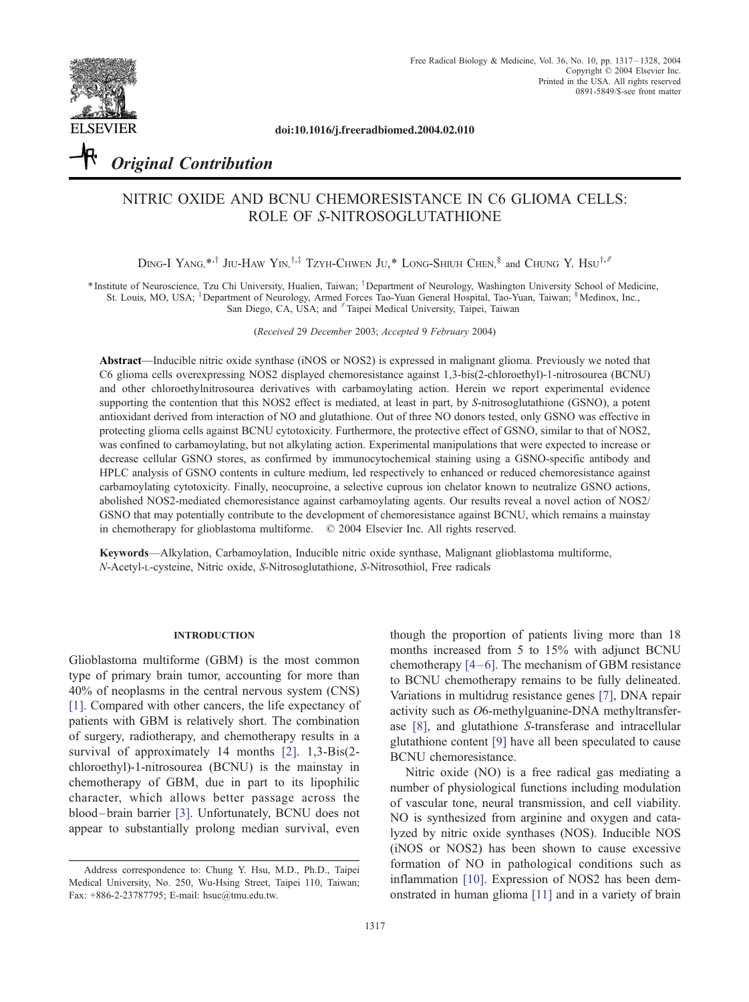

doi:10.1016/j.freeradbiomed.2004.02.010

# Original Contribution

# NITRIC OXIDE AND BCNU CHEMORESISTANCE IN C6 GLIOMA CELLS: ROLE OF S-NITROSOGLUTATHIONE

DING-I YANG,\*<sup>+</sup> JIU-HAW YIN,<sup>†+‡</sup> TZYH-CHWEN JU,\* LONG-SHIUH CHEN,<sup>§</sup> and CHUNG Y. Hsu<sup>†,#</sup>

\* Institute of Neuroscience, Tzu Chi University, Hualien, Taiwan; <sup>†</sup> Department of Neurology, Washington University School of Medicine, St. Louis, MO, USA; <sup>†</sup> Department of Neurology, Armed Forces Tao-Yuan General Hospital, Tao-Yuan, Taiwan; <sup>§</sup>Medinox, Inc., San Diego, CA, USA; and Taipei Medical University, Taipei, Taiwan

(Received 29 December 2003; Accepted 9 February 2004)

Abstract—Inducible nitric oxide synthase (iNOS or NOS2) is expressed in malignant glioma. Previously we noted that C6 glioma cells overexpressing NOS2 displayed chemoresistance against 1,3-bis(2-chloroethyl)-1-nitrosourea (BCNU) and other chloroethylnitrosourea derivatives with carbamoylating action. Herein we report experimental evidence supporting the contention that this NOS2 effect is mediated, at least in part, by S-nitrosoglutathione (GSNO), a potent antioxidant derived from interaction of NO and glutathione. Out of three NO donors tested, only GSNO was effective in protecting glioma cells against BCNU cytotoxicity. Furthermore, the protective effect of GSNO, similar to that of NOS2, was confined to carbamoylating, but not alkylating action. Experimental manipulations that were expected to increase or decrease cellular GSNO stores, as confirmed by immunocytochemical staining using a GSNO-specific antibody and HPLC analysis of GSNO contents in culture medium, led respectively to enhanced or reduced chemoresistance against carbamoylating cytotoxicity. Finally, neocuproine, a selective cuprous ion chelator known to neutralize GSNO actions, abolished NOS2-mediated chemoresistance against carbamoylating agents. Our results reveal a novel action of NOS2/ GSNO that may potentially contribute to the development of chemoresistance against BCNU, which remains a mainstay in chemotherapy for glioblastoma multiforme.  $\oslash$  2004 Elsevier Inc. All rights reserved.

Keywords—Alkylation, Carbamoylation, Inducible nitric oxide synthase, Malignant glioblastoma multiforme, N-Acetyl-L-cysteine, Nitric oxide, S-Nitrosoglutathione, S-Nitrosothiol, Free radicals

#### INTRODUCTION

Glioblastoma multiforme (GBM) is the most common type of primary brain tumor, accounting for more than 40% of neoplasms in the central nervous system (CNS) [\[1\]](#page-9-0). Compared with other cancers, the life expectancy of patients with GBM is relatively short. The combination of surgery, radiotherapy, and chemotherapy results in a survival of approximately 14 months [\[2\].](#page-9-0) 1,3-Bis(2 chloroethyl)-1-nitrosourea (BCNU) is the mainstay in chemotherapy of GBM, due in part to its lipophilic character, which allows better passage across the blood – brain barrier [\[3\]](#page-9-0). Unfortunately, BCNU does not appear to substantially prolong median survival, even

though the proportion of patients living more than 18 months increased from 5 to 15% with adjunct BCNU chemotherapy  $[4-6]$ . The mechanism of GBM resistance to BCNU chemotherapy remains to be fully delineated. Variations in multidrug resistance genes [\[7\],](#page-9-0) DNA repair activity such as O6-methylguanine-DNA methyltransferase [\[8\],](#page-9-0) and glutathione S-transferase and intracellular glutathione content [\[9\]](#page-9-0) have all been speculated to cause BCNU chemoresistance.

Nitric oxide (NO) is a free radical gas mediating a number of physiological functions including modulation of vascular tone, neural transmission, and cell viability. NO is synthesized from arginine and oxygen and catalyzed by nitric oxide synthases (NOS). Inducible NOS (iNOS or NOS2) has been shown to cause excessive formation of NO in pathological conditions such as inflammation [\[10\].](#page-9-0) Expression of NOS2 has been demonstrated in human glioma [\[11\]](#page-9-0) and in a variety of brain

Address correspondence to: Chung Y. Hsu, M.D., Ph.D., Taipei Medical University, No. 250, Wu-Hsing Street, Taipei 110, Taiwan; Fax: +886-2-23787795; E-mail: hsuc@tmu.edu.tw.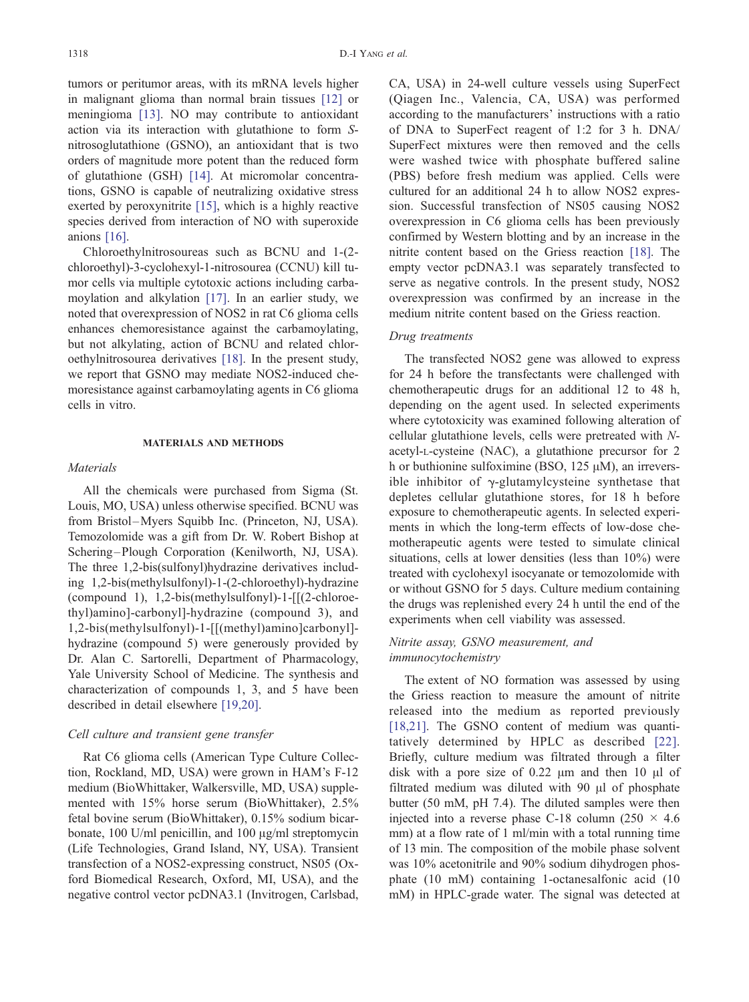tumors or peritumor areas, with its mRNA levels higher in malignant glioma than normal brain tissues [\[12\]](#page-9-0) or meningioma [\[13\].](#page-9-0) NO may contribute to antioxidant action via its interaction with glutathione to form Snitrosoglutathione (GSNO), an antioxidant that is two orders of magnitude more potent than the reduced form of glutathione (GSH) [\[14\].](#page-9-0) At micromolar concentrations, GSNO is capable of neutralizing oxidative stress exerted by peroxynitrite [\[15\],](#page-9-0) which is a highly reactive species derived from interaction of NO with superoxide anions [\[16\].](#page-9-0)

Chloroethylnitrosoureas such as BCNU and 1-(2 chloroethyl)-3-cyclohexyl-1-nitrosourea (CCNU) kill tumor cells via multiple cytotoxic actions including carbamoylation and alkylation [\[17\].](#page-9-0) In an earlier study, we noted that overexpression of NOS2 in rat C6 glioma cells enhances chemoresistance against the carbamoylating, but not alkylating, action of BCNU and related chloroethylnitrosourea derivatives [\[18\].](#page-9-0) In the present study, we report that GSNO may mediate NOS2-induced chemoresistance against carbamoylating agents in C6 glioma cells in vitro.

#### MATERIALS AND METHODS

#### **Materials**

All the chemicals were purchased from Sigma (St. Louis, MO, USA) unless otherwise specified. BCNU was from Bristol-Myers Squibb Inc. (Princeton, NJ, USA). Temozolomide was a gift from Dr. W. Robert Bishop at Schering-Plough Corporation (Kenilworth, NJ, USA). The three 1,2-bis(sulfonyl)hydrazine derivatives including 1,2-bis(methylsulfonyl)-1-(2-chloroethyl)-hydrazine (compound 1), 1,2-bis(methylsulfonyl)-1-[[(2-chloroethyl)amino]-carbonyl]-hydrazine (compound 3), and 1,2-bis(methylsulfonyl)-1-[[(methyl)amino]carbonyl] hydrazine (compound 5) were generously provided by Dr. Alan C. Sartorelli, Department of Pharmacology, Yale University School of Medicine. The synthesis and characterization of compounds 1, 3, and 5 have been described in detail elsewhere [\[19,20\].](#page-10-0)

#### Cell culture and transient gene transfer

Rat C6 glioma cells (American Type Culture Collection, Rockland, MD, USA) were grown in HAM's F-12 medium (BioWhittaker, Walkersville, MD, USA) supplemented with 15% horse serum (BioWhittaker), 2.5% fetal bovine serum (BioWhittaker), 0.15% sodium bicarbonate,  $100$  U/ml penicillin, and  $100 \mu g/ml$  streptomycin (Life Technologies, Grand Island, NY, USA). Transient transfection of a NOS2-expressing construct, NS05 (Oxford Biomedical Research, Oxford, MI, USA), and the negative control vector pcDNA3.1 (Invitrogen, Carlsbad, CA, USA) in 24-well culture vessels using SuperFect (Qiagen Inc., Valencia, CA, USA) was performed according to the manufacturers' instructions with a ratio of DNA to SuperFect reagent of 1:2 for 3 h. DNA/ SuperFect mixtures were then removed and the cells were washed twice with phosphate buffered saline (PBS) before fresh medium was applied. Cells were cultured for an additional 24 h to allow NOS2 expression. Successful transfection of NS05 causing NOS2 overexpression in C6 glioma cells has been previously confirmed by Western blotting and by an increase in the nitrite content based on the Griess reaction [\[18\].](#page-9-0) The empty vector pcDNA3.1 was separately transfected to serve as negative controls. In the present study, NOS2 overexpression was confirmed by an increase in the medium nitrite content based on the Griess reaction.

#### Drug treatments

The transfected NOS2 gene was allowed to express for 24 h before the transfectants were challenged with chemotherapeutic drugs for an additional 12 to 48 h, depending on the agent used. In selected experiments where cytotoxicity was examined following alteration of cellular glutathione levels, cells were pretreated with Nacetyl-L-cysteine (NAC), a glutathione precursor for 2 h or buthionine sulfoximine (BSO,  $125 \mu M$ ), an irreversible inhibitor of  $\gamma$ -glutamylcysteine synthetase that depletes cellular glutathione stores, for 18 h before exposure to chemotherapeutic agents. In selected experiments in which the long-term effects of low-dose chemotherapeutic agents were tested to simulate clinical situations, cells at lower densities (less than 10%) were treated with cyclohexyl isocyanate or temozolomide with or without GSNO for 5 days. Culture medium containing the drugs was replenished every 24 h until the end of the experiments when cell viability was assessed.

## Nitrite assay, GSNO measurement, and immunocytochemistry

The extent of NO formation was assessed by using the Griess reaction to measure the amount of nitrite released into the medium as reported previously [\[18,21\].](#page-9-0) The GSNO content of medium was quantitatively determined by HPLC as described [\[22\].](#page-10-0) Briefly, culture medium was filtrated through a filter disk with a pore size of  $0.22 \mu m$  and then 10  $\mu$ l of filtrated medium was diluted with  $90 \mu l$  of phosphate butter (50 mM, pH 7.4). The diluted samples were then injected into a reverse phase C-18 column (250  $\times$  4.6 mm) at a flow rate of 1 ml/min with a total running time of 13 min. The composition of the mobile phase solvent was 10% acetonitrile and 90% sodium dihydrogen phosphate (10 mM) containing 1-octanesalfonic acid (10 mM) in HPLC-grade water. The signal was detected at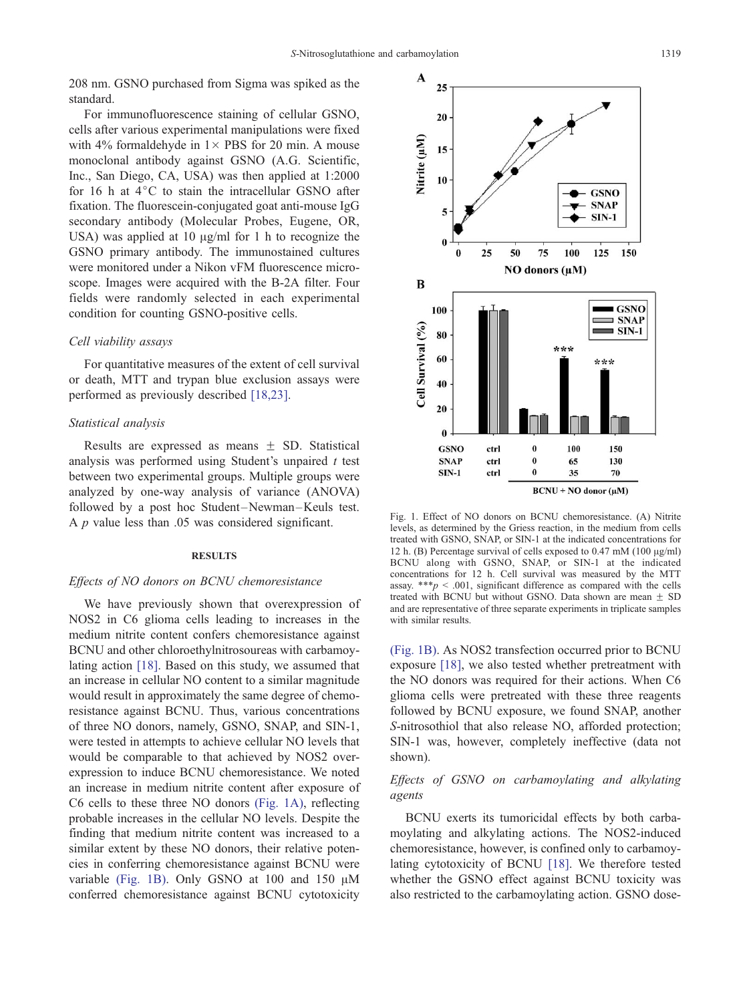<span id="page-2-0"></span>208 nm. GSNO purchased from Sigma was spiked as the standard.

For immunofluorescence staining of cellular GSNO, cells after various experimental manipulations were fixed with 4% formaldehyde in  $1 \times$  PBS for 20 min. A mouse monoclonal antibody against GSNO (A.G. Scientific, Inc., San Diego, CA, USA) was then applied at 1:2000 for 16 h at  $4^{\circ}$ C to stain the intracellular GSNO after fixation. The fluorescein-conjugated goat anti-mouse IgG secondary antibody (Molecular Probes, Eugene, OR, USA) was applied at 10  $\mu$ g/ml for 1 h to recognize the GSNO primary antibody. The immunostained cultures were monitored under a Nikon vFM fluorescence microscope. Images were acquired with the B-2A filter. Four fields were randomly selected in each experimental condition for counting GSNO-positive cells.

#### Cell viability assays

For quantitative measures of the extent of cell survival or death, MTT and trypan blue exclusion assays were performed as previously described [\[18,23\].](#page-9-0)

#### Statistical analysis

Results are expressed as means  $\pm$  SD. Statistical analysis was performed using Student's unpaired  $t$  test between two experimental groups. Multiple groups were analyzed by one-way analysis of variance (ANOVA) followed by a post hoc Student-Newman-Keuls test. A  $p$  value less than .05 was considered significant.

#### **RESULTS**

#### Effects of NO donors on BCNU chemoresistance

We have previously shown that overexpression of NOS2 in C6 glioma cells leading to increases in the medium nitrite content confers chemoresistance against BCNU and other chloroethylnitrosoureas with carbamoylating action [\[18\]](#page-9-0). Based on this study, we assumed that an increase in cellular NO content to a similar magnitude would result in approximately the same degree of chemoresistance against BCNU. Thus, various concentrations of three NO donors, namely, GSNO, SNAP, and SIN-1, were tested in attempts to achieve cellular NO levels that would be comparable to that achieved by NOS2 overexpression to induce BCNU chemoresistance. We noted an increase in medium nitrite content after exposure of C6 cells to these three NO donors (Fig. 1A), reflecting probable increases in the cellular NO levels. Despite the finding that medium nitrite content was increased to a similar extent by these NO donors, their relative potencies in conferring chemoresistance against BCNU were variable (Fig. 1B). Only GSNO at 100 and 150  $\mu$ M conferred chemoresistance against BCNU cytotoxicity



Fig. 1. Effect of NO donors on BCNU chemoresistance. (A) Nitrite levels, as determined by the Griess reaction, in the medium from cells treated with GSNO, SNAP, or SIN-1 at the indicated concentrations for 12 h. (B) Percentage survival of cells exposed to  $0.47 \text{ mM}$  (100  $\mu$ g/ml) BCNU along with GSNO, SNAP, or SIN-1 at the indicated concentrations for 12 h. Cell survival was measured by the MTT assay. \*\*\* $p < .001$ , significant difference as compared with the cells treated with BCNU but without GSNO. Data shown are mean  $\pm$  SD and are representative of three separate experiments in triplicate samples with similar results.

(Fig. 1B). As NOS2 transfection occurred prior to BCNU exposure [\[18\],](#page-9-0) we also tested whether pretreatment with the NO donors was required for their actions. When C6 glioma cells were pretreated with these three reagents followed by BCNU exposure, we found SNAP, another S-nitrosothiol that also release NO, afforded protection; SIN-1 was, however, completely ineffective (data not shown).

## Effects of GSNO on carbamoylating and alkylating agents

BCNU exerts its tumoricidal effects by both carbamoylating and alkylating actions. The NOS2-induced chemoresistance, however, is confined only to carbamoylating cytotoxicity of BCNU [\[18\].](#page-9-0) We therefore tested whether the GSNO effect against BCNU toxicity was also restricted to the carbamoylating action. GSNO dose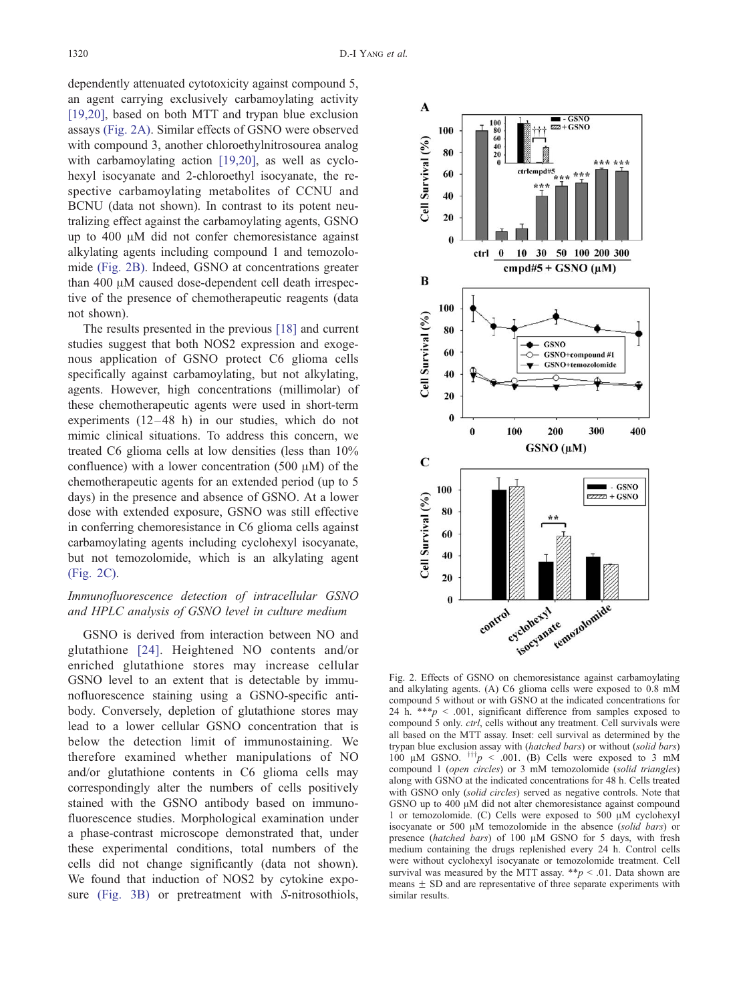<span id="page-3-0"></span>dependently attenuated cytotoxicity against compound 5, an agent carrying exclusively carbamoylating activity [\[19,20\],](#page-10-0) based on both MTT and trypan blue exclusion assays (Fig. 2A). Similar effects of GSNO were observed with compound 3, another chloroethylnitrosourea analog with carbamoylating action [\[19,20\],](#page-10-0) as well as cyclohexyl isocyanate and 2-chloroethyl isocyanate, the respective carbamoylating metabolites of CCNU and BCNU (data not shown). In contrast to its potent neutralizing effect against the carbamoylating agents, GSNO up to  $400 \mu M$  did not confer chemoresistance against alkylating agents including compound 1 and temozolomide (Fig. 2B). Indeed, GSNO at concentrations greater than  $400 \mu M$  caused dose-dependent cell death irrespective of the presence of chemotherapeutic reagents (data not shown).

The results presented in the previous [\[18\]](#page-9-0) and current studies suggest that both NOS2 expression and exogenous application of GSNO protect C6 glioma cells specifically against carbamoylating, but not alkylating, agents. However, high concentrations (millimolar) of these chemotherapeutic agents were used in short-term experiments  $(12-48)$  h) in our studies, which do not mimic clinical situations. To address this concern, we treated C6 glioma cells at low densities (less than 10% confluence) with a lower concentration (500  $\mu$ M) of the chemotherapeutic agents for an extended period (up to 5 days) in the presence and absence of GSNO. At a lower dose with extended exposure, GSNO was still effective in conferring chemoresistance in C6 glioma cells against carbamoylating agents including cyclohexyl isocyanate, but not temozolomide, which is an alkylating agent (Fig. 2C).

# Immunofluorescence detection of intracellular GSNO and HPLC analysis of GSNO level in culture medium

GSNO is derived from interaction between NO and glutathione [\[24\].](#page-10-0) Heightened NO contents and/or enriched glutathione stores may increase cellular GSNO level to an extent that is detectable by immunofluorescence staining using a GSNO-specific antibody. Conversely, depletion of glutathione stores may lead to a lower cellular GSNO concentration that is below the detection limit of immunostaining. We therefore examined whether manipulations of NO and/or glutathione contents in C6 glioma cells may correspondingly alter the numbers of cells positively stained with the GSNO antibody based on immunofluorescence studies. Morphological examination under a phase-contrast microscope demonstrated that, under these experimental conditions, total numbers of the cells did not change significantly (data not shown). We found that induction of NOS2 by cytokine exposure [\(Fig. 3B\)](#page-4-0) or pretreatment with S-nitrosothiols,



Fig. 2. Effects of GSNO on chemoresistance against carbamoylating and alkylating agents. (A) C6 glioma cells were exposed to 0.8 mM compound 5 without or with GSNO at the indicated concentrations for 24 h. \*\*\* $p \leq 0.001$ , significant difference from samples exposed to compound 5 only. ctrl, cells without any treatment. Cell survivals were all based on the MTT assay. Inset: cell survival as determined by the trypan blue exclusion assay with (hatched bars) or without (solid bars) 100  $\mu$ M GSNO.  $\frac{1}{1}$   $\pi$  < .001. (B) Cells were exposed to 3 mM compound 1 (open circles) or 3 mM temozolomide (solid triangles) along with GSNO at the indicated concentrations for 48 h. Cells treated with GSNO only (solid circles) served as negative controls. Note that GSNO up to 400 µM did not alter chemoresistance against compound 1 or temozolomide. (C) Cells were exposed to 500  $\mu$ M cyclohexyl isocyanate or 500  $\mu$ M temozolomide in the absence (solid bars) or presence (hatched bars) of 100 µM GSNO for 5 days, with fresh medium containing the drugs replenished every 24 h. Control cells were without cyclohexyl isocyanate or temozolomide treatment. Cell survival was measured by the MTT assay.  $* p < .01$ . Data shown are means  $\pm$  SD and are representative of three separate experiments with similar results.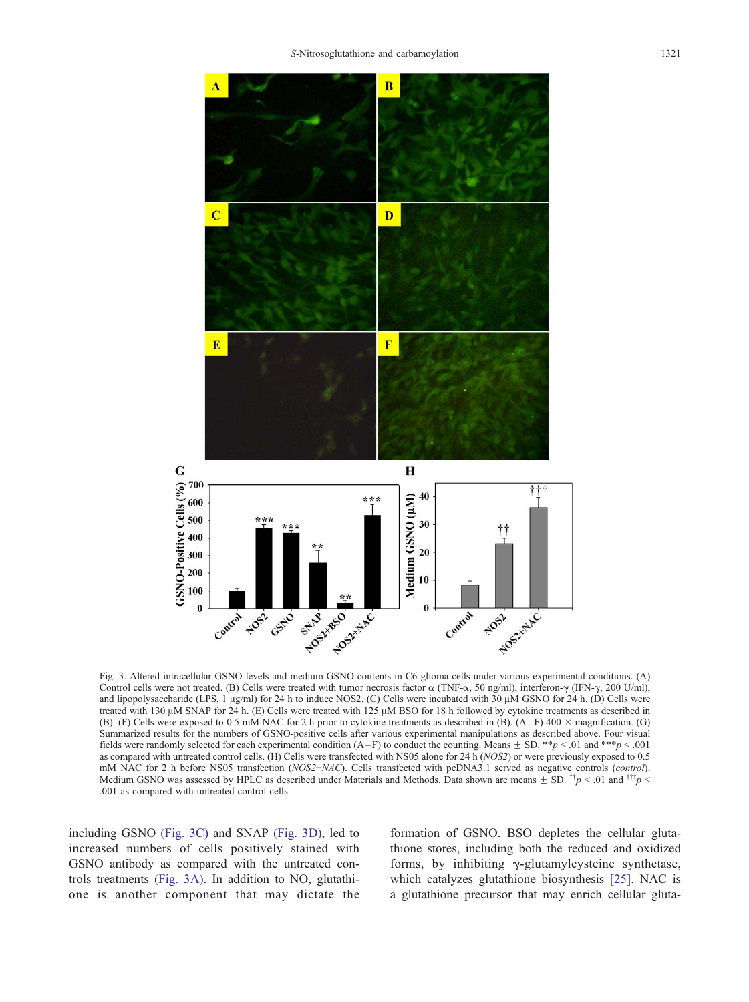<span id="page-4-0"></span>

Fig. 3. Altered intracellular GSNO levels and medium GSNO contents in C6 glioma cells under various experimental conditions. (A) Control cells were not treated. (B) Cells were treated with tumor necrosis factor  $\alpha$  (TNF- $\alpha$ , 50 ng/ml), interferon- $\gamma$  (IFN- $\gamma$ , 200 U/ml), and lipopolysaccharide (LPS, 1  $\mu$ g/ml) for 24 h to induce NOS2. (C) Cells were incubated with  $30 \mu$ M GSNO for 24 h. (D) Cells were treated with 130  $\mu$ M SNAP for 24 h. (E) Cells were treated with 125  $\mu$ M BSO for 18 h followed by cytokine treatments as described in (B). (F) Cells were exposed to 0.5 mM NAC for 2 h prior to cytokine treatments as described in (B). (A-F) 400  $\times$  magnification. (G) Summarized results for the numbers of GSNO-positive cells after various experimental manipulations as described above. Four visual fields were randomly selected for each experimental condition  $(A - F)$  to conduct the counting. Means  $\pm$  SD. \*\*p < .01 and \*\*\*p < .001 as compared with untreated control cells. (H) Cells were transfected with NS05 alone for 24 h (NOS2) or were previously exposed to 0.5 mM NAC for 2 h before NS05 transfection (NOS2+NAC). Cells transfected with pcDNA3.1 served as negative controls (control). Medium GSNO was assessed by HPLC as described under Materials and Methods. Data shown are means  $\pm$  SD.  $^{†}p$  < .01 and  $^{†}tp$   $\leq$ .001 as compared with untreated control cells.

including GSNO (Fig. 3C) and SNAP (Fig. 3D), led to increased numbers of cells positively stained with GSNO antibody as compared with the untreated controls treatments (Fig. 3A). In addition to NO, glutathione is another component that may dictate the formation of GSNO. BSO depletes the cellular glutathione stores, including both the reduced and oxidized forms, by inhibiting  $\gamma$ -glutamylcysteine synthetase, which catalyzes glutathione biosynthesis [\[25\].](#page-10-0) NAC is a glutathione precursor that may enrich cellular gluta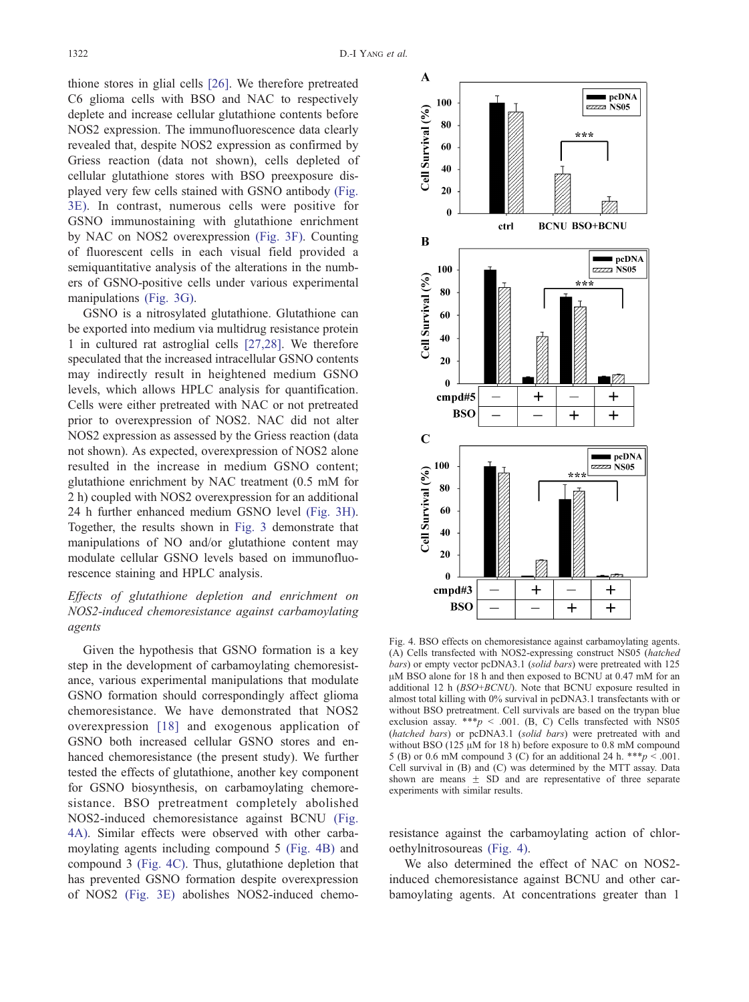<span id="page-5-0"></span>thione stores in glial cells [\[26\].](#page-10-0) We therefore pretreated C6 glioma cells with BSO and NAC to respectively deplete and increase cellular glutathione contents before NOS2 expression. The immunofluorescence data clearly revealed that, despite NOS2 expression as confirmed by Griess reaction (data not shown), cells depleted of cellular glutathione stores with BSO preexposure displayed very few cells stained with GSNO antibody [\(Fig.](#page-4-0) 3E). In contrast, numerous cells were positive for GSNO immunostaining with glutathione enrichment by NAC on NOS2 overexpression [\(Fig. 3F\).](#page-4-0) Counting of fluorescent cells in each visual field provided a semiquantitative analysis of the alterations in the numbers of GSNO-positive cells under various experimental manipulations [\(Fig. 3G\).](#page-4-0)

GSNO is a nitrosylated glutathione. Glutathione can be exported into medium via multidrug resistance protein 1 in cultured rat astroglial cells [\[27,28\].](#page-10-0) We therefore speculated that the increased intracellular GSNO contents may indirectly result in heightened medium GSNO levels, which allows HPLC analysis for quantification. Cells were either pretreated with NAC or not pretreated prior to overexpression of NOS2. NAC did not alter NOS2 expression as assessed by the Griess reaction (data not shown). As expected, overexpression of NOS2 alone resulted in the increase in medium GSNO content; glutathione enrichment by NAC treatment (0.5 mM for 2 h) coupled with NOS2 overexpression for an additional 24 h further enhanced medium GSNO level [\(Fig. 3H\).](#page-4-0) Together, the results shown in [Fig. 3](#page-4-0) demonstrate that manipulations of NO and/or glutathione content may modulate cellular GSNO levels based on immunofluorescence staining and HPLC analysis.

# Effects of glutathione depletion and enrichment on NOS2-induced chemoresistance against carbamoylating agents

Given the hypothesis that GSNO formation is a key step in the development of carbamoylating chemoresistance, various experimental manipulations that modulate GSNO formation should correspondingly affect glioma chemoresistance. We have demonstrated that NOS2 overexpression [\[18\]](#page-9-0) and exogenous application of GSNO both increased cellular GSNO stores and enhanced chemoresistance (the present study). We further tested the effects of glutathione, another key component for GSNO biosynthesis, on carbamoylating chemoresistance. BSO pretreatment completely abolished NOS2-induced chemoresistance against BCNU (Fig. 4A). Similar effects were observed with other carbamoylating agents including compound 5 (Fig. 4B) and compound 3 (Fig. 4C). Thus, glutathione depletion that has prevented GSNO formation despite overexpression of NOS2 [\(Fig. 3E\)](#page-4-0) abolishes NOS2-induced chemo-



Fig. 4. BSO effects on chemoresistance against carbamoylating agents. (A) Cells transfected with NOS2-expressing construct NS05 (hatched bars) or empty vector pcDNA3.1 (solid bars) were pretreated with 125 µM BSO alone for 18 h and then exposed to BCNU at 0.47 mM for an additional 12 h (BSO+BCNU). Note that BCNU exposure resulted in almost total killing with 0% survival in pcDNA3.1 transfectants with or without BSO pretreatment. Cell survivals are based on the trypan blue exclusion assay. \*\*\* $p$  < .001. (B, C) Cells transfected with NS05 (hatched bars) or pcDNA3.1 (solid bars) were pretreated with and without BSO (125 µM for 18 h) before exposure to 0.8 mM compound 5 (B) or 0.6 mM compound 3 (C) for an additional 24 h. \*\*\* $p < .001$ . Cell survival in (B) and (C) was determined by the MTT assay. Data shown are means  $\pm$  SD and are representative of three separate experiments with similar results.

resistance against the carbamoylating action of chloroethylnitrosoureas (Fig. 4).

We also determined the effect of NAC on NOS2 induced chemoresistance against BCNU and other carbamoylating agents. At concentrations greater than 1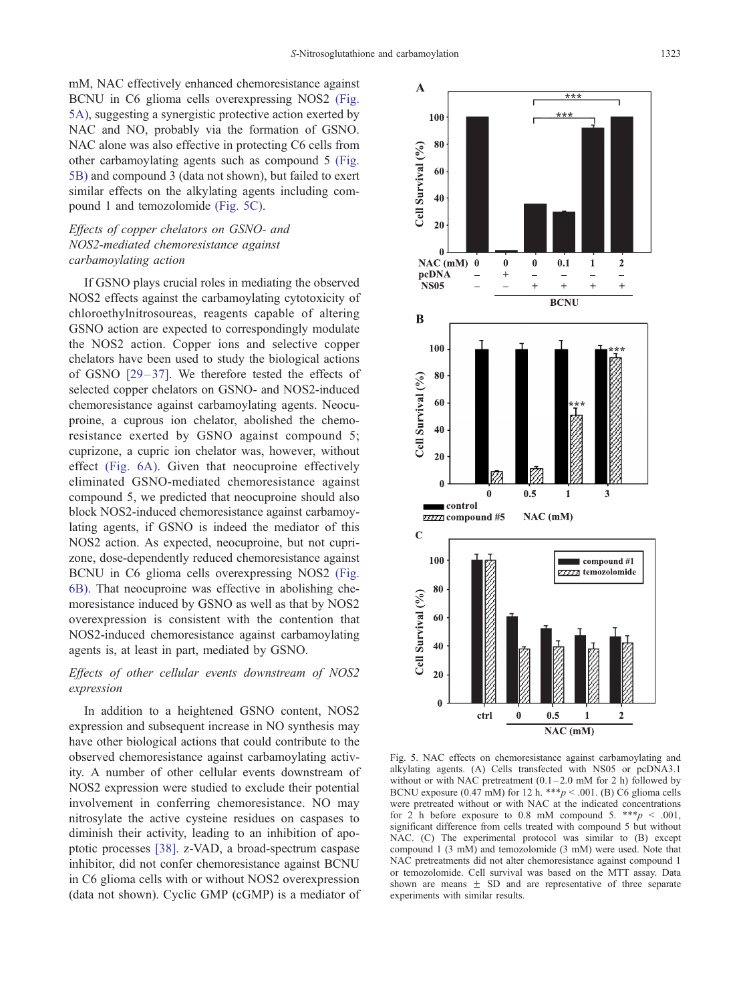mM, NAC effectively enhanced chemoresistance against BCNU in C6 glioma cells overexpressing NOS2 (Fig. 5A), suggesting a synergistic protective action exerted by NAC and NO, probably via the formation of GSNO. NAC alone was also effective in protecting C6 cells from other carbamoylating agents such as compound 5 (Fig. 5B) and compound 3 (data not shown), but failed to exert similar effects on the alkylating agents including compound 1 and temozolomide (Fig. 5C).

# Effects of copper chelators on GSNO- and NOS2-mediated chemoresistance against carbamoylating action

If GSNO plays crucial roles in mediating the observed NOS2 effects against the carbamoylating cytotoxicity of chloroethylnitrosoureas, reagents capable of altering GSNO action are expected to correspondingly modulate the NOS2 action. Copper ions and selective copper chelators have been used to study the biological actions of GSNO  $[29-37]$ . We therefore tested the effects of selected copper chelators on GSNO- and NOS2-induced chemoresistance against carbamoylating agents. Neocuproine, a cuprous ion chelator, abolished the chemoresistance exerted by GSNO against compound 5; cuprizone, a cupric ion chelator was, however, without effect [\(Fig. 6A\).](#page-7-0) Given that neocuproine effectively eliminated GSNO-mediated chemoresistance against compound 5, we predicted that neocuproine should also block NOS2-induced chemoresistance against carbamoylating agents, if GSNO is indeed the mediator of this NOS2 action. As expected, neocuproine, but not cuprizone, dose-dependently reduced chemoresistance against BCNU in C6 glioma cells overexpressing NOS2 [\(Fig.](#page-7-0) 6B). That neocuproine was effective in abolishing chemoresistance induced by GSNO as well as that by NOS2 overexpression is consistent with the contention that NOS2-induced chemoresistance against carbamoylating agents is, at least in part, mediated by GSNO.

# Effects of other cellular events downstream of NOS2 expression

In addition to a heightened GSNO content, NOS2 expression and subsequent increase in NO synthesis may have other biological actions that could contribute to the observed chemoresistance against carbamoylating activity. A number of other cellular events downstream of NOS2 expression were studied to exclude their potential involvement in conferring chemoresistance. NO may nitrosylate the active cysteine residues on caspases to diminish their activity, leading to an inhibition of apoptotic processes [\[38\]](#page-10-0). z-VAD, a broad-spectrum caspase inhibitor, did not confer chemoresistance against BCNU in C6 glioma cells with or without NOS2 overexpression (data not shown). Cyclic GMP (cGMP) is a mediator of



Fig. 5. NAC effects on chemoresistance against carbamoylating and alkylating agents. (A) Cells transfected with NS05 or pcDNA3.1 without or with NAC pretreatment  $(0.1 - 2.0 \text{ mM}$  for 2 h) followed by BCNU exposure (0.47 mM) for 12 h. \*\*\*  $p < .001$ . (B) C6 glioma cells were pretreated without or with NAC at the indicated concentrations for 2 h before exposure to 0.8 mM compound 5. \*\*\*  $p < .001$ , significant difference from cells treated with compound 5 but without NAC. (C) The experimental protocol was similar to (B) except compound 1 (3 mM) and temozolomide (3 mM) were used. Note that NAC pretreatments did not alter chemoresistance against compound 1 or temozolomide. Cell survival was based on the MTT assay. Data shown are means  $\pm$  SD and are representative of three separate experiments with similar results.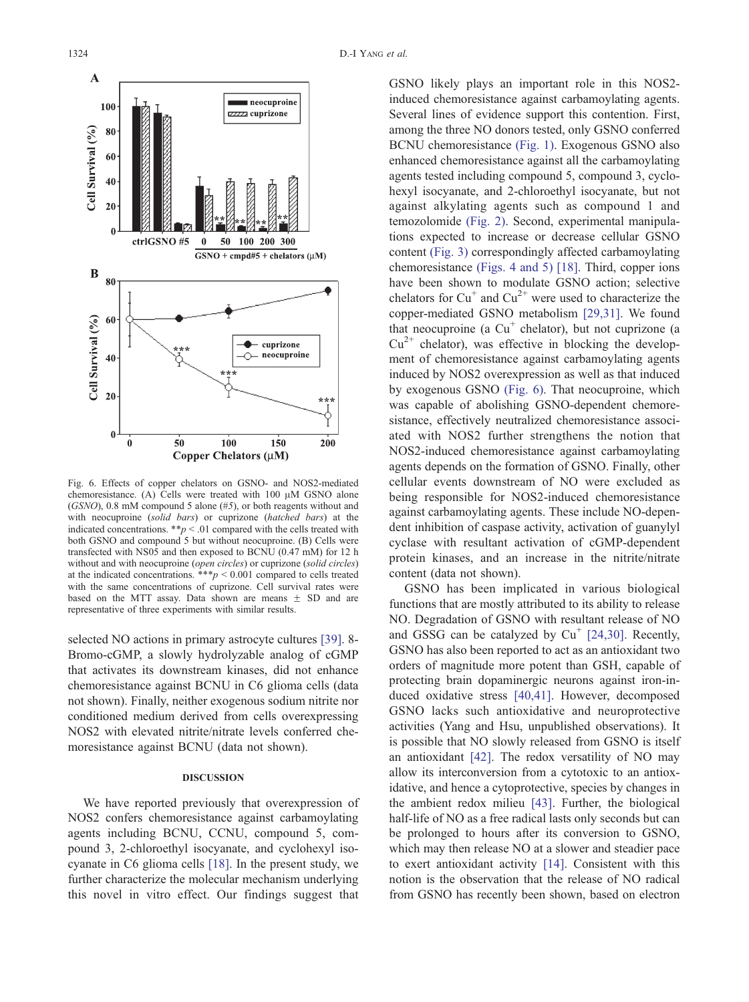<span id="page-7-0"></span>

Fig. 6. Effects of copper chelators on GSNO- and NOS2-mediated chemoresistance. (A) Cells were treated with  $100 \mu M$  GSNO alone (GSNO), 0.8 mM compound 5 alone (#5), or both reagents without and with neocuproine (solid bars) or cuprizone (hatched bars) at the indicated concentrations.  $**p < .01$  compared with the cells treated with both GSNO and compound 5 but without neocuproine. (B) Cells were transfected with NS05 and then exposed to BCNU (0.47 mM) for 12 h without and with neocuproine (open circles) or cuprizone (solid circles) at the indicated concentrations. \*\*\* $p < 0.001$  compared to cells treated with the same concentrations of cuprizone. Cell survival rates were based on the MTT assay. Data shown are means  $\pm$  SD and are representative of three experiments with similar results.

selected NO actions in primary astrocyte cultures [\[39\].](#page-10-0) 8- Bromo-cGMP, a slowly hydrolyzable analog of cGMP that activates its downstream kinases, did not enhance chemoresistance against BCNU in C6 glioma cells (data not shown). Finally, neither exogenous sodium nitrite nor conditioned medium derived from cells overexpressing NOS2 with elevated nitrite/nitrate levels conferred chemoresistance against BCNU (data not shown).

#### DISCUSSION

We have reported previously that overexpression of NOS2 confers chemoresistance against carbamoylating agents including BCNU, CCNU, compound 5, compound 3, 2-chloroethyl isocyanate, and cyclohexyl isocyanate in C6 glioma cells [\[18\].](#page-9-0) In the present study, we further characterize the molecular mechanism underlying this novel in vitro effect. Our findings suggest that

GSNO likely plays an important role in this NOS2 induced chemoresistance against carbamoylating agents. Several lines of evidence support this contention. First, among the three NO donors tested, only GSNO conferred BCNU chemoresistance [\(Fig. 1\).](#page-2-0) Exogenous GSNO also enhanced chemoresistance against all the carbamoylating agents tested including compound 5, compound 3, cyclohexyl isocyanate, and 2-chloroethyl isocyanate, but not against alkylating agents such as compound 1 and temozolomide [\(Fig. 2\).](#page-3-0) Second, experimental manipulations expected to increase or decrease cellular GSNO content [\(Fig. 3\)](#page-4-0) correspondingly affected carbamoylating chemoresistance [\(Figs. 4 and 5\)](#page-5-0) [\[18\].](#page-9-0) Third, copper ions have been shown to modulate GSNO action; selective chelators for  $Cu^+$  and  $Cu^{2+}$  were used to characterize the copper-mediated GSNO metabolism [\[29,31\].](#page-10-0) We found that neocuproine (a  $Cu<sup>+</sup>$  chelator), but not cuprizone (a  $Cu^{2+}$  chelator), was effective in blocking the development of chemoresistance against carbamoylating agents induced by NOS2 overexpression as well as that induced by exogenous GSNO (Fig. 6). That neocuproine, which was capable of abolishing GSNO-dependent chemoresistance, effectively neutralized chemoresistance associated with NOS2 further strengthens the notion that NOS2-induced chemoresistance against carbamoylating agents depends on the formation of GSNO. Finally, other cellular events downstream of NO were excluded as being responsible for NOS2-induced chemoresistance against carbamoylating agents. These include NO-dependent inhibition of caspase activity, activation of guanylyl cyclase with resultant activation of cGMP-dependent protein kinases, and an increase in the nitrite/nitrate content (data not shown).

GSNO has been implicated in various biological functions that are mostly attributed to its ability to release NO. Degradation of GSNO with resultant release of NO and GSSG can be catalyzed by  $Cu^+$  [\[24,30\].](#page-10-0) Recently, GSNO has also been reported to act as an antioxidant two orders of magnitude more potent than GSH, capable of protecting brain dopaminergic neurons against iron-induced oxidative stress [\[40,41\].](#page-10-0) However, decomposed GSNO lacks such antioxidative and neuroprotective activities (Yang and Hsu, unpublished observations). It is possible that NO slowly released from GSNO is itself an antioxidant [\[42\].](#page-10-0) The redox versatility of NO may allow its interconversion from a cytotoxic to an antioxidative, and hence a cytoprotective, species by changes in the ambient redox milieu [\[43\].](#page-10-0) Further, the biological half-life of NO as a free radical lasts only seconds but can be prolonged to hours after its conversion to GSNO, which may then release NO at a slower and steadier pace to exert antioxidant activity [\[14\].](#page-9-0) Consistent with this notion is the observation that the release of NO radical from GSNO has recently been shown, based on electron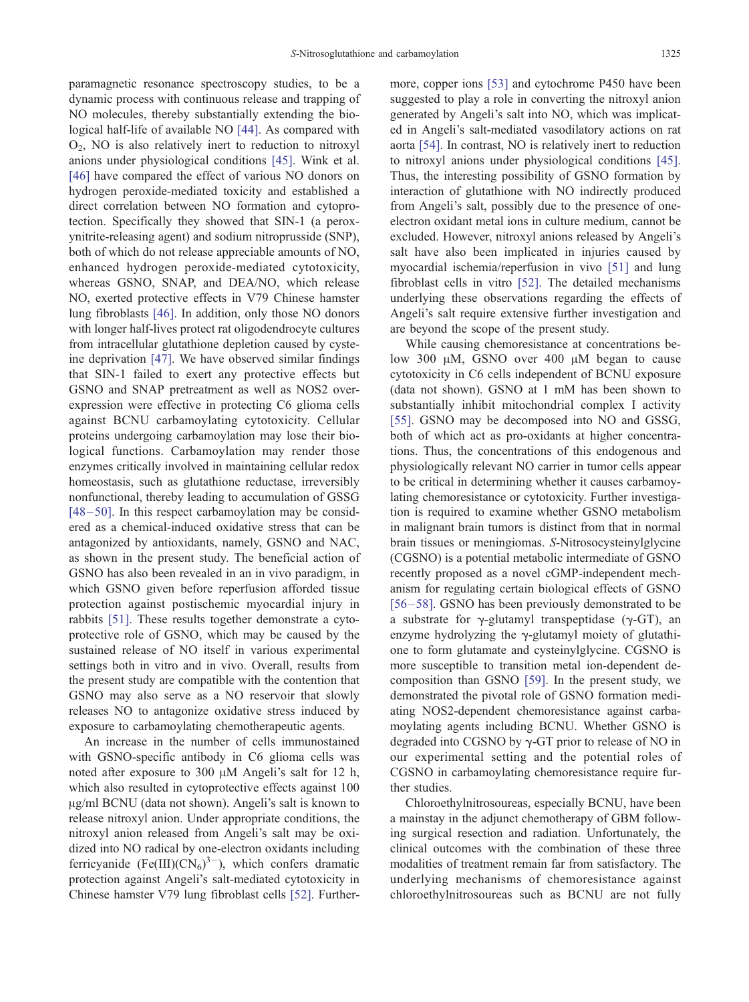paramagnetic resonance spectroscopy studies, to be a dynamic process with continuous release and trapping of NO molecules, thereby substantially extending the biological half-life of available NO [\[44\].](#page-10-0) As compared with O2, NO is also relatively inert to reduction to nitroxyl anions under physiological conditions [\[45\].](#page-10-0) Wink et al. [\[46\]](#page-10-0) have compared the effect of various NO donors on hydrogen peroxide-mediated toxicity and established a direct correlation between NO formation and cytoprotection. Specifically they showed that SIN-1 (a peroxynitrite-releasing agent) and sodium nitroprusside (SNP), both of which do not release appreciable amounts of NO, enhanced hydrogen peroxide-mediated cytotoxicity, whereas GSNO, SNAP, and DEA/NO, which release NO, exerted protective effects in V79 Chinese hamster lung fibroblasts [\[46\].](#page-10-0) In addition, only those NO donors with longer half-lives protect rat oligodendrocyte cultures from intracellular glutathione depletion caused by cysteine deprivation [\[47\]](#page-10-0). We have observed similar findings that SIN-1 failed to exert any protective effects but GSNO and SNAP pretreatment as well as NOS2 overexpression were effective in protecting C6 glioma cells against BCNU carbamoylating cytotoxicity. Cellular proteins undergoing carbamoylation may lose their biological functions. Carbamoylation may render those enzymes critically involved in maintaining cellular redox homeostasis, such as glutathione reductase, irreversibly nonfunctional, thereby leading to accumulation of GSSG  $[48 - 50]$ . In this respect carbamoylation may be considered as a chemical-induced oxidative stress that can be antagonized by antioxidants, namely, GSNO and NAC, as shown in the present study. The beneficial action of GSNO has also been revealed in an in vivo paradigm, in which GSNO given before reperfusion afforded tissue protection against postischemic myocardial injury in rabbits [\[51\]](#page-10-0). These results together demonstrate a cytoprotective role of GSNO, which may be caused by the sustained release of NO itself in various experimental settings both in vitro and in vivo. Overall, results from the present study are compatible with the contention that GSNO may also serve as a NO reservoir that slowly releases NO to antagonize oxidative stress induced by exposure to carbamoylating chemotherapeutic agents.

An increase in the number of cells immunostained with GSNO-specific antibody in C6 glioma cells was noted after exposure to 300  $\mu$ M Angeli's salt for 12 h, which also resulted in cytoprotective effects against 100 µg/ml BCNU (data not shown). Angeli's salt is known to release nitroxyl anion. Under appropriate conditions, the nitroxyl anion released from Angeli's salt may be oxidized into NO radical by one-electron oxidants including ferricyanide (Fe(III)( $CN_6$ )<sup>3-</sup>), which confers dramatic protection against Angeli's salt-mediated cytotoxicity in Chinese hamster V79 lung fibroblast cells [\[52\]](#page-10-0). Furthermore, copper ions [\[53\]](#page-10-0) and cytochrome P450 have been suggested to play a role in converting the nitroxyl anion generated by Angeli's salt into NO, which was implicated in Angeli's salt-mediated vasodilatory actions on rat aorta [\[54\].](#page-11-0) In contrast, NO is relatively inert to reduction to nitroxyl anions under physiological conditions [\[45\].](#page-10-0) Thus, the interesting possibility of GSNO formation by interaction of glutathione with NO indirectly produced from Angeli's salt, possibly due to the presence of oneelectron oxidant metal ions in culture medium, cannot be excluded. However, nitroxyl anions released by Angeli's salt have also been implicated in injuries caused by myocardial ischemia/reperfusion in vivo [\[51\]](#page-10-0) and lung fibroblast cells in vitro [\[52\].](#page-10-0) The detailed mechanisms underlying these observations regarding the effects of Angeli's salt require extensive further investigation and are beyond the scope of the present study.

While causing chemoresistance at concentrations below 300  $\mu$ M, GSNO over 400  $\mu$ M began to cause cytotoxicity in C6 cells independent of BCNU exposure (data not shown). GSNO at 1 mM has been shown to substantially inhibit mitochondrial complex I activity [\[55\].](#page-11-0) GSNO may be decomposed into NO and GSSG, both of which act as pro-oxidants at higher concentrations. Thus, the concentrations of this endogenous and physiologically relevant NO carrier in tumor cells appear to be critical in determining whether it causes carbamoylating chemoresistance or cytotoxicity. Further investigation is required to examine whether GSNO metabolism in malignant brain tumors is distinct from that in normal brain tissues or meningiomas. S-Nitrosocysteinylglycine (CGSNO) is a potential metabolic intermediate of GSNO recently proposed as a novel cGMP-independent mechanism for regulating certain biological effects of GSNO [\[56 –58\].](#page-11-0) GSNO has been previously demonstrated to be a substrate for  $\gamma$ -glutamyl transpeptidase ( $\gamma$ -GT), an enzyme hydrolyzing the  $\gamma$ -glutamyl moiety of glutathione to form glutamate and cysteinylglycine. CGSNO is more susceptible to transition metal ion-dependent decomposition than GSNO [\[59\].](#page-11-0) In the present study, we demonstrated the pivotal role of GSNO formation mediating NOS2-dependent chemoresistance against carbamoylating agents including BCNU. Whether GSNO is degraded into CGSNO by  $\gamma$ -GT prior to release of NO in our experimental setting and the potential roles of CGSNO in carbamoylating chemoresistance require further studies.

Chloroethylnitrosoureas, especially BCNU, have been a mainstay in the adjunct chemotherapy of GBM following surgical resection and radiation. Unfortunately, the clinical outcomes with the combination of these three modalities of treatment remain far from satisfactory. The underlying mechanisms of chemoresistance against chloroethylnitrosoureas such as BCNU are not fully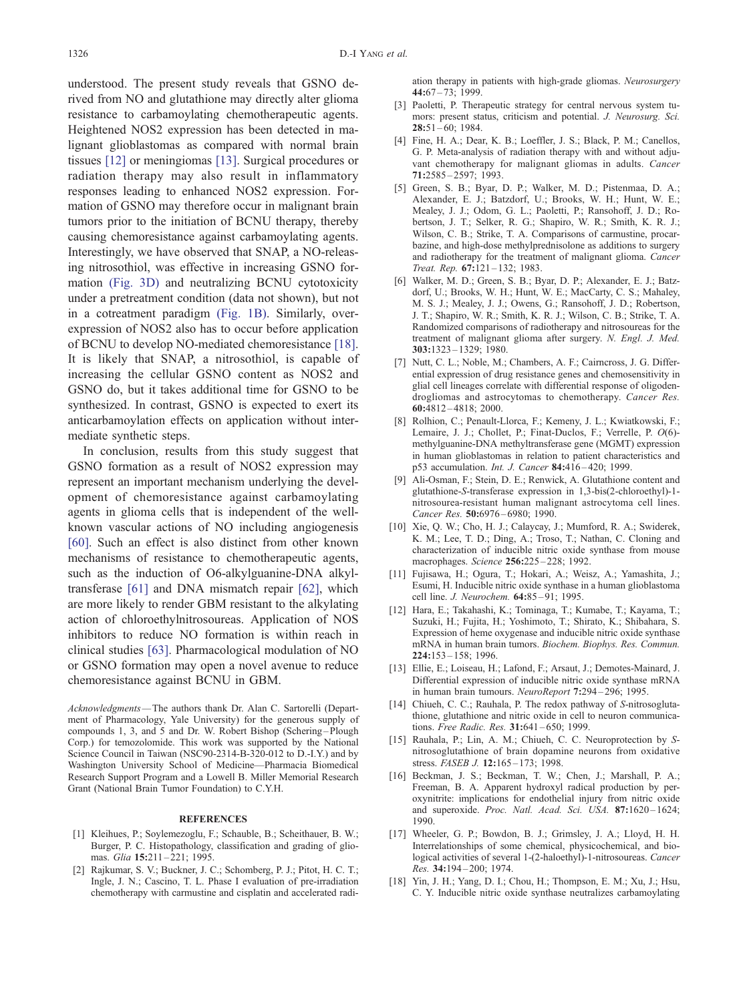<span id="page-9-0"></span>understood. The present study reveals that GSNO derived from NO and glutathione may directly alter glioma resistance to carbamoylating chemotherapeutic agents. Heightened NOS2 expression has been detected in malignant glioblastomas as compared with normal brain tissues [12] or meningiomas [13]. Surgical procedures or radiation therapy may also result in inflammatory responses leading to enhanced NOS2 expression. Formation of GSNO may therefore occur in malignant brain tumors prior to the initiation of BCNU therapy, thereby causing chemoresistance against carbamoylating agents. Interestingly, we have observed that SNAP, a NO-releasing nitrosothiol, was effective in increasing GSNO formation [\(Fig. 3D\)](#page-4-0) and neutralizing BCNU cytotoxicity under a pretreatment condition (data not shown), but not in a cotreatment paradigm [\(Fig. 1B\).](#page-2-0) Similarly, overexpression of NOS2 also has to occur before application of BCNU to develop NO-mediated chemoresistance [18]. It is likely that SNAP, a nitrosothiol, is capable of increasing the cellular GSNO content as NOS2 and GSNO do, but it takes additional time for GSNO to be synthesized. In contrast, GSNO is expected to exert its anticarbamoylation effects on application without intermediate synthetic steps.

In conclusion, results from this study suggest that GSNO formation as a result of NOS2 expression may represent an important mechanism underlying the development of chemoresistance against carbamoylating agents in glioma cells that is independent of the wellknown vascular actions of NO including angiogenesis [\[60\].](#page-11-0) Such an effect is also distinct from other known mechanisms of resistance to chemotherapeutic agents, such as the induction of O6-alkylguanine-DNA alkyltransferase [\[61\]](#page-11-0) and DNA mismatch repair [\[62\],](#page-11-0) which are more likely to render GBM resistant to the alkylating action of chloroethylnitrosoureas. Application of NOS inhibitors to reduce NO formation is within reach in clinical studies [\[63\].](#page-11-0) Pharmacological modulation of NO or GSNO formation may open a novel avenue to reduce chemoresistance against BCNU in GBM.

Acknowledgments—The authors thank Dr. Alan C. Sartorelli (Department of Pharmacology, Yale University) for the generous supply of compounds 1, 3, and 5 and Dr. W. Robert Bishop (Schering-Plough Corp.) for temozolomide. This work was supported by the National Science Council in Taiwan (NSC90-2314-B-320-012 to D.-I.Y.) and by Washington University School of Medicine—Pharmacia Biomedical Research Support Program and a Lowell B. Miller Memorial Research Grant (National Brain Tumor Foundation) to C.Y.H.

#### **REFERENCES**

- [1] Kleihues, P.; Soylemezoglu, F.; Schauble, B.; Scheithauer, B. W.; Burger, P. C. Histopathology, classification and grading of gliomas. Glia 15:211-221; 1995.
- [2] Rajkumar, S. V.; Buckner, J. C.; Schomberg, P. J.; Pitot, H. C. T.; Ingle, J. N.; Cascino, T. L. Phase I evaluation of pre-irradiation chemotherapy with carmustine and cisplatin and accelerated radi-

ation therapy in patients with high-grade gliomas. Neurosurgery 44:67 – 73; 1999.

- [3] Paoletti, P. Therapeutic strategy for central nervous system tumors: present status, criticism and potential. J. Neurosurg. Sci.  $28:51 - 60$ ; 1984.
- [4] Fine, H. A.; Dear, K. B.; Loeffler, J. S.; Black, P. M.; Canellos, G. P. Meta-analysis of radiation therapy with and without adjuvant chemotherapy for malignant gliomas in adults. Cancer 71:2585 – 2597; 1993.
- [5] Green, S. B.; Byar, D. P.; Walker, M. D.; Pistenmaa, D. A.; Alexander, E. J.; Batzdorf, U.; Brooks, W. H.; Hunt, W. E.; Mealey, J. J.; Odom, G. L.; Paoletti, P.; Ransohoff, J. D.; Robertson, J. T.; Selker, R. G.; Shapiro, W. R.; Smith, K. R. J.; Wilson, C. B.; Strike, T. A. Comparisons of carmustine, procarbazine, and high-dose methylprednisolone as additions to surgery and radiotherapy for the treatment of malignant glioma. Cancer Treat. Rep. 67:121 – 132; 1983.
- [6] Walker, M. D.; Green, S. B.; Byar, D. P.; Alexander, E. J.; Batzdorf, U.; Brooks, W. H.; Hunt, W. E.; MacCarty, C. S.; Mahaley, M. S. J.; Mealey, J. J.; Owens, G.; Ransohoff, J. D.; Robertson, J. T.; Shapiro, W. R.; Smith, K. R. J.; Wilson, C. B.; Strike, T. A. Randomized comparisons of radiotherapy and nitrosoureas for the treatment of malignant glioma after surgery. N. Engl. J. Med. 303:1323 – 1329; 1980.
- [7] Nutt, C. L.; Noble, M.; Chambers, A. F.; Cairncross, J. G. Differential expression of drug resistance genes and chemosensitivity in glial cell lineages correlate with differential response of oligodendrogliomas and astrocytomas to chemotherapy. Cancer Res. 60:4812 – 4818; 2000.
- [8] Rolhion, C.; Penault-Llorca, F.; Kemeny, J. L.; Kwiatkowski, F.; Lemaire, J. J.; Chollet, P.; Finat-Duclos, F.; Verrelle, P. O(6) methylguanine-DNA methyltransferase gene (MGMT) expression in human glioblastomas in relation to patient characteristics and p53 accumulation. Int. J. Cancer 84:416 – 420; 1999.
- [9] Ali-Osman, F.; Stein, D. E.; Renwick, A. Glutathione content and glutathione-S-transferase expression in 1,3-bis(2-chloroethyl)-1 nitrosourea-resistant human malignant astrocytoma cell lines. Cancer Res. 50:6976-6980; 1990.
- [10] Xie, Q. W.; Cho, H. J.; Calaycay, J.; Mumford, R. A.; Swiderek, K. M.; Lee, T. D.; Ding, A.; Troso, T.; Nathan, C. Cloning and characterization of inducible nitric oxide synthase from mouse macrophages. Science 256:225-228; 1992.
- [11] Fujisawa, H.; Ogura, T.; Hokari, A.; Weisz, A.; Yamashita, J.; Esumi, H. Inducible nitric oxide synthase in a human glioblastoma cell line. J. Neurochem. 64:85-91; 1995.
- [12] Hara, E.; Takahashi, K.; Tominaga, T.; Kumabe, T.; Kayama, T.; Suzuki, H.; Fujita, H.; Yoshimoto, T.; Shirato, K.; Shibahara, S. Expression of heme oxygenase and inducible nitric oxide synthase mRNA in human brain tumors. Biochem. Biophys. Res. Commun. 224:153 – 158; 1996.
- [13] Ellie, E.; Loiseau, H.; Lafond, F.; Arsaut, J.; Demotes-Mainard, J. Differential expression of inducible nitric oxide synthase mRNA in human brain tumours. NeuroReport 7:294 – 296; 1995.
- [14] Chiueh, C. C.; Rauhala, P. The redox pathway of S-nitrosoglutathione, glutathione and nitric oxide in cell to neuron communications. Free Radic. Res. 31:641-650; 1999.
- [15] Rauhala, P.; Lin, A. M.; Chiueh, C. C. Neuroprotection by Snitrosoglutathione of brain dopamine neurons from oxidative stress. FASEB J. 12:165-173; 1998.
- [16] Beckman, J. S.; Beckman, T. W.; Chen, J.; Marshall, P. A.; Freeman, B. A. Apparent hydroxyl radical production by peroxynitrite: implications for endothelial injury from nitric oxide and superoxide. Proc. Natl. Acad. Sci. USA. 87:1620-1624; 1990.
- [17] Wheeler, G. P.; Bowdon, B. J.; Grimsley, J. A.; Lloyd, H. H. Interrelationships of some chemical, physicochemical, and biological activities of several 1-(2-haloethyl)-1-nitrosoureas. Cancer Res. 34:194-200; 1974.
- [18] Yin, J. H.; Yang, D. I.; Chou, H.; Thompson, E. M.; Xu, J.; Hsu, C. Y. Inducible nitric oxide synthase neutralizes carbamoylating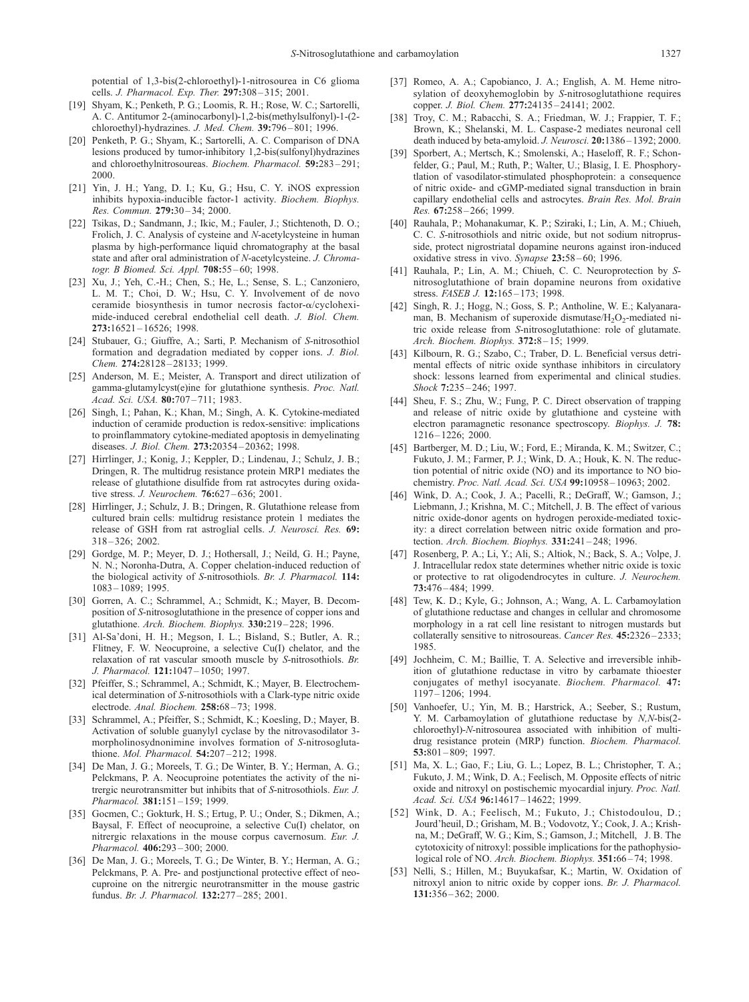<span id="page-10-0"></span>potential of 1,3-bis(2-chloroethyl)-1-nitrosourea in C6 glioma cells. J. Pharmacol. Exp. Ther. 297:308-315; 2001.

- [19] Shyam, K.; Penketh, P. G.; Loomis, R. H.; Rose, W. C.; Sartorelli, A. C. Antitumor 2-(aminocarbonyl)-1,2-bis(methylsulfonyl)-1-(2 chloroethyl)-hydrazines. J. Med. Chem. 39:796 – 801; 1996.
- [20] Penketh, P. G.; Shyam, K.; Sartorelli, A. C. Comparison of DNA lesions produced by tumor-inhibitory 1,2-bis(sulfonyl)hydrazines and chloroethylnitrosoureas. Biochem. Pharmacol. 59:283 – 291; 2000.
- [21] Yin, J. H.; Yang, D. I.; Ku, G.; Hsu, C. Y. iNOS expression inhibits hypoxia-inducible factor-1 activity. Biochem. Biophys. Res. Commun. 279:30-34; 2000.
- [22] Tsikas, D.; Sandmann, J.; Ikic, M.; Fauler, J.; Stichtenoth, D. O.; Frolich, J. C. Analysis of cysteine and N-acetylcysteine in human plasma by high-performance liquid chromatography at the basal state and after oral administration of N-acetylcysteine. J. Chromatogr. B Biomed. Sci. Appl. 708:55-60; 1998.
- [23] Xu, J.; Yeh, C.-H.; Chen, S.; He, L.; Sense, S. L.; Canzoniero, L. M. T.; Choi, D. W.; Hsu, C. Y. Involvement of de novo ceramide biosynthesis in tumor necrosis factor-a/cycloheximide-induced cerebral endothelial cell death. J. Biol. Chem. 273:16521 – 16526; 1998.
- [24] Stubauer, G.; Giuffre, A.; Sarti, P. Mechanism of S-nitrosothiol formation and degradation mediated by copper ions. J. Biol. Chem. 274:28128-28133; 1999.
- [25] Anderson, M. E.; Meister, A. Transport and direct utilization of gamma-glutamylcyst(e)ine for glutathione synthesis. Proc. Natl. Acad. Sci. USA. 80:707-711; 1983.
- [26] Singh, I.; Pahan, K.; Khan, M.; Singh, A. K. Cytokine-mediated induction of ceramide production is redox-sensitive: implications to proinflammatory cytokine-mediated apoptosis in demyelinating diseases. J. Biol. Chem. 273:20354 – 20362; 1998.
- [27] Hirrlinger, J.; Konig, J.; Keppler, D.; Lindenau, J.; Schulz, J. B.; Dringen, R. The multidrug resistance protein MRP1 mediates the release of glutathione disulfide from rat astrocytes during oxidative stress. J. Neurochem. **76:**627-636; 2001.
- [28] Hirrlinger, J.; Schulz, J. B.; Dringen, R. Glutathione release from cultured brain cells: multidrug resistance protein 1 mediates the release of GSH from rat astroglial cells. J. Neurosci. Res. 69: 318 – 326; 2002.
- [29] Gordge, M. P.; Meyer, D. J.; Hothersall, J.; Neild, G. H.; Payne, N. N.; Noronha-Dutra, A. Copper chelation-induced reduction of the biological activity of S-nitrosothiols. Br. J. Pharmacol. 114: 1083 – 1089; 1995.
- [30] Gorren, A. C.; Schrammel, A.; Schmidt, K.; Mayer, B. Decomposition of S-nitrosoglutathione in the presence of copper ions and glutathione. Arch. Biochem. Biophys. 330:219 – 228; 1996.
- [31] Al-Sa'doni, H. H.; Megson, I. L.; Bisland, S.; Butler, A. R.; Flitney, F. W. Neocuproine, a selective Cu(I) chelator, and the relaxation of rat vascular smooth muscle by S-nitrosothiols. Br. J. Pharmacol. 121:1047-1050; 1997.
- [32] Pfeiffer, S.; Schrammel, A.; Schmidt, K.; Mayer, B. Electrochemical determination of S-nitrosothiols with a Clark-type nitric oxide electrode. Anal. Biochem. 258:68-73; 1998.
- [33] Schrammel, A.; Pfeiffer, S.; Schmidt, K.; Koesling, D.; Mayer, B. Activation of soluble guanylyl cyclase by the nitrovasodilator 3 morpholinosydnonimine involves formation of S-nitrosoglutathione. Mol. Pharmacol. 54:207-212; 1998.
- [34] De Man, J. G.; Moreels, T. G.; De Winter, B. Y.; Herman, A. G.; Pelckmans, P. A. Neocuproine potentiates the activity of the nitrergic neurotransmitter but inhibits that of S-nitrosothiols. Eur. J. Pharmacol. 381:151-159; 1999.
- [35] Gocmen, C.; Gokturk, H. S.; Ertug, P. U.; Onder, S.; Dikmen, A.; Baysal, F. Effect of neocuproine, a selective Cu(I) chelator, on nitrergic relaxations in the mouse corpus cavernosum. Eur. J. Pharmacol. 406:293-300; 2000.
- [36] De Man, J. G.; Moreels, T. G.; De Winter, B. Y.; Herman, A. G.; Pelckmans, P. A. Pre- and postjunctional protective effect of neocuproine on the nitrergic neurotransmitter in the mouse gastric fundus. Br. J. Pharmacol. 132:277 – 285; 2001.
- [37] Romeo, A. A.; Capobianco, J. A.; English, A. M. Heme nitrosylation of deoxyhemoglobin by S-nitrosoglutathione requires copper. J. Biol. Chem. 277:24135 – 24141; 2002.
- [38] Troy, C. M.; Rabacchi, S. A.; Friedman, W. J.; Frappier, T. F.; Brown, K.; Shelanski, M. L. Caspase-2 mediates neuronal cell death induced by beta-amyloid. J. Neurosci. 20:1386-1392; 2000.
- [39] Sporbert, A.; Mertsch, K.; Smolenski, A.; Haseloff, R. F.; Schonfelder, G.; Paul, M.; Ruth, P.; Walter, U.; Blasig, I. E. Phosphorytlation of vasodilator-stimulated phosphoprotein: a consequence of nitric oxide- and cGMP-mediated signal transduction in brain capillary endothelial cells and astrocytes. Brain Res. Mol. Brain Res. 67:258 – 266; 1999.
- [40] Rauhala, P.; Mohanakumar, K. P.; Sziraki, I.; Lin, A. M.; Chiueh, C. C. S-nitrosothiols and nitric oxide, but not sodium nitroprusside, protect nigrostriatal dopamine neurons against iron-induced oxidative stress in vivo. Synapse 23:58-60; 1996.
- [41] Rauhala, P.; Lin, A. M.; Chiueh, C. C. Neuroprotection by Snitrosoglutathione of brain dopamine neurons from oxidative stress. FASEB J. 12:165-173; 1998.
- [42] Singh, R. J.; Hogg, N.; Goss, S. P.; Antholine, W. E.; Kalyanaraman, B. Mechanism of superoxide dismutase/ $H_2O_2$ -mediated nitric oxide release from S-nitrosoglutathione: role of glutamate. Arch. Biochem. Biophys. 372:8-15; 1999.
- [43] Kilbourn, R. G.; Szabo, C.; Traber, D. L. Beneficial versus detrimental effects of nitric oxide synthase inhibitors in circulatory shock: lessons learned from experimental and clinical studies. Shock 7:235-246; 1997.
- [44] Sheu, F. S.; Zhu, W.; Fung, P. C. Direct observation of trapping and release of nitric oxide by glutathione and cysteine with electron paramagnetic resonance spectroscopy. Biophys. J. 78: 1216 – 1226; 2000.
- [45] Bartberger, M. D.; Liu, W.; Ford, E.; Miranda, K. M.; Switzer, C.; Fukuto, J. M.; Farmer, P. J.; Wink, D. A.; Houk, K. N. The reduction potential of nitric oxide (NO) and its importance to NO biochemistry. Proc. Natl. Acad. Sci. USA 99:10958 – 10963; 2002.
- [46] Wink, D. A.; Cook, J. A.; Pacelli, R.; DeGraff, W.; Gamson, J.; Liebmann, J.; Krishna, M. C.; Mitchell, J. B. The effect of various nitric oxide-donor agents on hydrogen peroxide-mediated toxicity: a direct correlation between nitric oxide formation and protection. Arch. Biochem. Biophys. 331:241 – 248; 1996.
- [47] Rosenberg, P. A.; Li, Y.; Ali, S.; Altiok, N.; Back, S. A.; Volpe, J. J. Intracellular redox state determines whether nitric oxide is toxic or protective to rat oligodendrocytes in culture. J. Neurochem. 73:476 – 484; 1999.
- [48] Tew, K. D.; Kyle, G.; Johnson, A.; Wang, A. L. Carbamoylation of glutathione reductase and changes in cellular and chromosome morphology in a rat cell line resistant to nitrogen mustards but collaterally sensitive to nitrosoureas. Cancer Res. 45:2326-2333; 1985.
- [49] Jochheim, C. M.; Baillie, T. A. Selective and irreversible inhibition of glutathione reductase in vitro by carbamate thioester conjugates of methyl isocyanate. Biochem. Pharmacol. 47: 1197 – 1206; 1994.
- [50] Vanhoefer, U.; Yin, M. B.; Harstrick, A.; Seeber, S.; Rustum, Y. M. Carbamoylation of glutathione reductase by N,N-bis(2 chloroethyl)-N-nitrosourea associated with inhibition of multidrug resistance protein (MRP) function. Biochem. Pharmacol. 53:801 – 809; 1997.
- [51] Ma, X. L.; Gao, F.; Liu, G. L.; Lopez, B. L.; Christopher, T. A.; Fukuto, J. M.; Wink, D. A.; Feelisch, M. Opposite effects of nitric oxide and nitroxyl on postischemic myocardial injury. Proc. Natl. Acad. Sci. USA 96:14617-14622; 1999.
- [52] Wink, D. A.; Feelisch, M.; Fukuto, J.; Chistodoulou, D.; Jourd'heuil, D.; Grisham, M. B.; Vodovotz, Y.; Cook, J. A.; Krishna, M.; DeGraff, W. G.; Kim, S.; Gamson, J.; Mitchell, J. B. The cytotoxicity of nitroxyl: possible implications for the pathophysiological role of NO. Arch. Biochem. Biophys. 351:66-74; 1998.
- [53] Nelli, S.; Hillen, M.; Buyukafsar, K.; Martin, W. Oxidation of nitroxyl anion to nitric oxide by copper ions. Br. J. Pharmacol. 131:356 – 362; 2000.